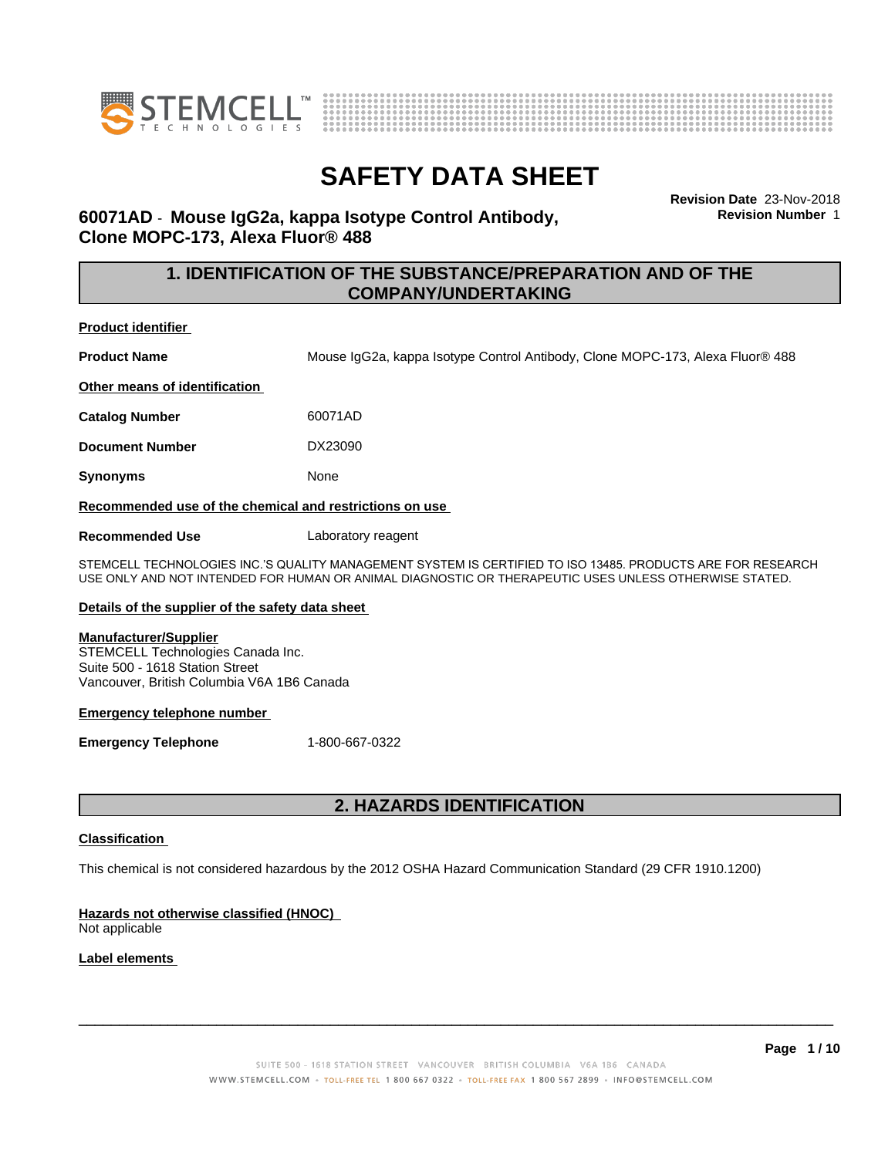



**Revision Date** 23-Nov-2018 **Revision Number** 1

### **60071AD** - **Mouse IgG2a, kappa Isotype Control Antibody, Clone MOPC-173, Alexa Fluor® 488**

### **1. IDENTIFICATION OF THE SUBSTANCE/PREPARATION AND OF THE COMPANY/UNDERTAKING**

**Product identifier**

**Product Name** Mouse IgG2a, kappa Isotype Control Antibody, Clone MOPC-173, Alexa Fluor® 488

**Other means of identification**

**Catalog Number** 60071AD

**Document Number** DX23090

**Synonyms** None

**Recommended use of the chemical and restrictions on use**

**Recommended Use** Laboratory reagent

STEMCELL TECHNOLOGIES INC.'S QUALITY MANAGEMENT SYSTEM IS CERTIFIED TO ISO 13485. PRODUCTS ARE FOR RESEARCH USE ONLY AND NOT INTENDED FOR HUMAN OR ANIMAL DIAGNOSTIC OR THERAPEUTIC USES UNLESS OTHERWISE STATED.

#### **Details of the supplier of the safety data sheet**

#### **Manufacturer/Supplier**

STEMCELL Technologies Canada Inc. Suite 500 - 1618 Station Street Vancouver, British Columbia V6A 1B6 Canada

#### **Emergency telephone number**

**Emergency Telephone** 1-800-667-0322

### **2. HAZARDS IDENTIFICATION**

#### **Classification**

This chemical is not considered hazardous by the 2012 OSHA Hazard Communication Standard (29 CFR 1910.1200)

### **Hazards not otherwise classified (HNOC)**

Not applicable

### **Label elements**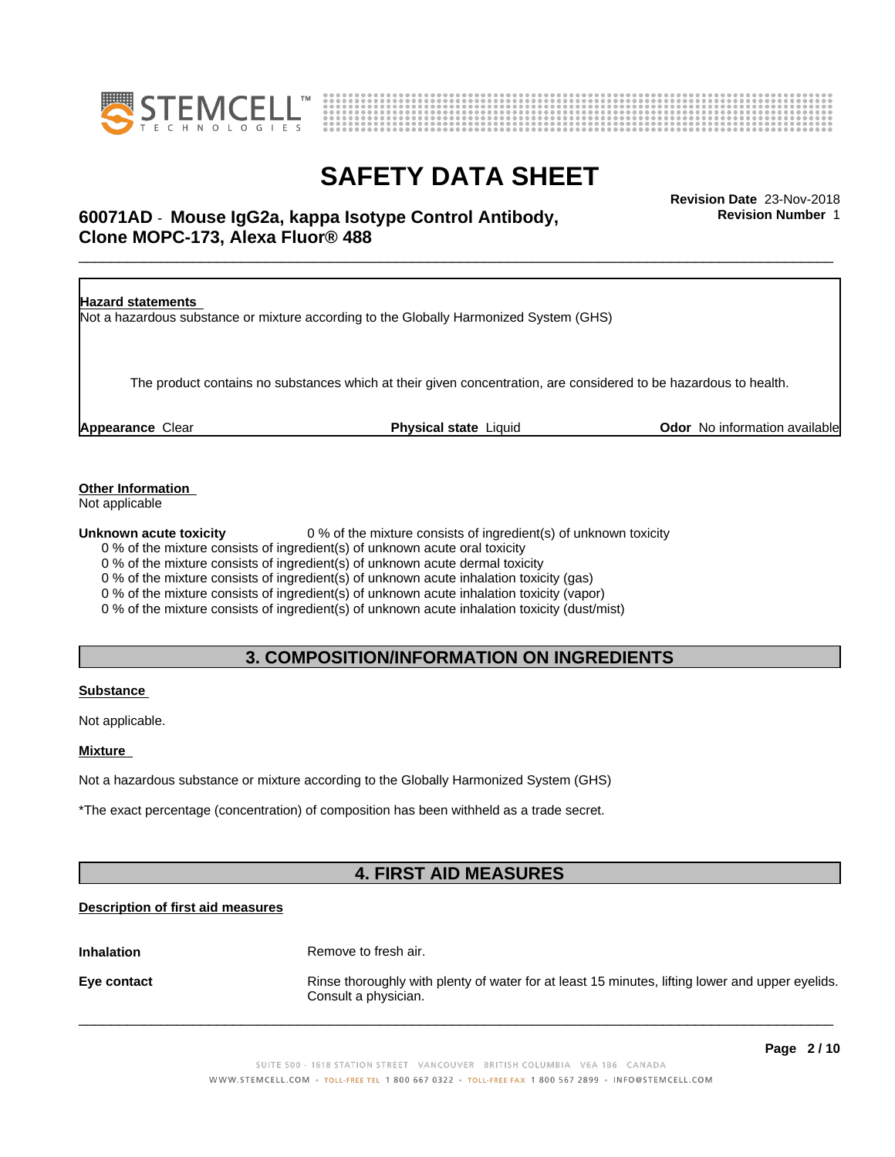



## \_\_\_\_\_\_\_\_\_\_\_\_\_\_\_\_\_\_\_\_\_\_\_\_\_\_\_\_\_\_\_\_\_\_\_\_\_\_\_\_\_\_\_\_\_\_\_\_\_\_\_\_\_\_\_\_\_\_\_\_\_\_\_\_\_\_\_\_\_\_\_\_\_\_\_\_\_\_\_\_\_\_\_\_\_\_\_\_\_\_\_\_\_ **Revision Date** 23-Nov-2018 **60071AD** - **Mouse IgG2a, kappa Isotype Control Antibody, Clone MOPC-173, Alexa Fluor® 488**

**Hazard statements** Not a hazardous substance or mixture according to the Globally Harmonized System (GHS) The product contains no substances which at their given concentration, are considered to be hazardous to health. **Appearance** Clear **Physical state** Liquid **Odor** No information available

**Other Information**

Not applicable

**Unknown acute toxicity** 0 % of the mixture consists of ingredient(s) of unknown toxicity

0 % of the mixture consists of ingredient(s) of unknown acute oral toxicity

0 % of the mixture consists of ingredient(s) of unknown acute dermal toxicity

0 % of the mixture consists of ingredient(s) of unknown acute inhalation toxicity (gas)

0 % of the mixture consists of ingredient(s) of unknown acute inhalation toxicity (vapor)

0 % of the mixture consists of ingredient(s) of unknown acute inhalation toxicity (dust/mist)

### **3. COMPOSITION/INFORMATION ON INGREDIENTS**

#### **Substance**

Not applicable.

#### **Mixture**

Not a hazardous substance or mixture according to the Globally Harmonized System (GHS)

\*The exact percentage (concentration) of composition has been withheld as a trade secret.

### **4. FIRST AID MEASURES**

### **Description of first aid measures**

**Inhalation** Remove to fresh air.

**Eye contact Rinse thoroughly with plenty of water for at least 15 minutes, lifting lower and upper eyelids.** Consult a physician.

 $\overline{\phantom{a}}$  ,  $\overline{\phantom{a}}$  ,  $\overline{\phantom{a}}$  ,  $\overline{\phantom{a}}$  ,  $\overline{\phantom{a}}$  ,  $\overline{\phantom{a}}$  ,  $\overline{\phantom{a}}$  ,  $\overline{\phantom{a}}$  ,  $\overline{\phantom{a}}$  ,  $\overline{\phantom{a}}$  ,  $\overline{\phantom{a}}$  ,  $\overline{\phantom{a}}$  ,  $\overline{\phantom{a}}$  ,  $\overline{\phantom{a}}$  ,  $\overline{\phantom{a}}$  ,  $\overline{\phantom{a}}$ 

**Revision Number** 1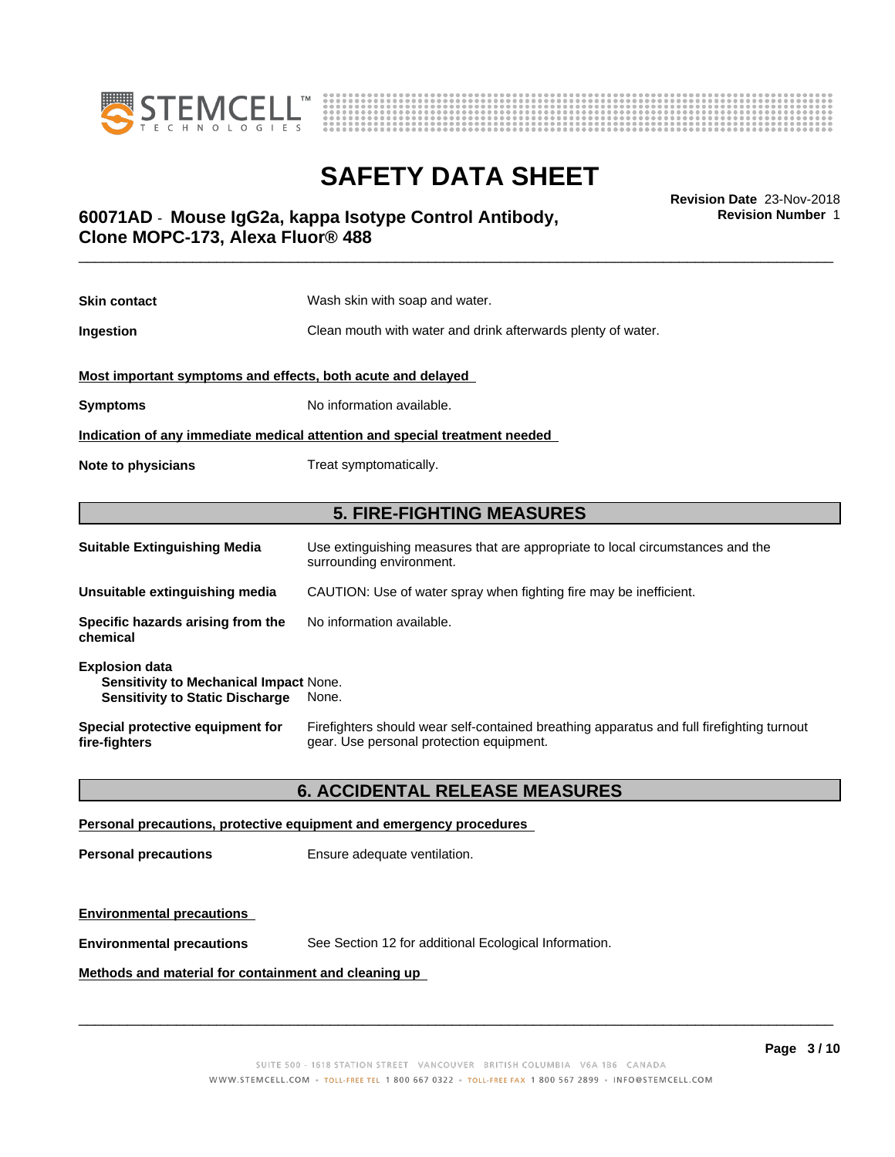



**Revision Number** 1

## \_\_\_\_\_\_\_\_\_\_\_\_\_\_\_\_\_\_\_\_\_\_\_\_\_\_\_\_\_\_\_\_\_\_\_\_\_\_\_\_\_\_\_\_\_\_\_\_\_\_\_\_\_\_\_\_\_\_\_\_\_\_\_\_\_\_\_\_\_\_\_\_\_\_\_\_\_\_\_\_\_\_\_\_\_\_\_\_\_\_\_\_\_ **Revision Date** 23-Nov-2018 **60071AD** - **Mouse IgG2a, kappa Isotype Control Antibody, Clone MOPC-173, Alexa Fluor® 488**

| <b>Skin contact</b>                                                                                                       | Wash skin with soap and water.                                                                                                        |  |
|---------------------------------------------------------------------------------------------------------------------------|---------------------------------------------------------------------------------------------------------------------------------------|--|
| Ingestion                                                                                                                 | Clean mouth with water and drink afterwards plenty of water.                                                                          |  |
| Most important symptoms and effects, both acute and delayed                                                               |                                                                                                                                       |  |
| <b>Symptoms</b>                                                                                                           | No information available.                                                                                                             |  |
|                                                                                                                           | Indication of any immediate medical attention and special treatment needed                                                            |  |
| Note to physicians                                                                                                        | Treat symptomatically.                                                                                                                |  |
|                                                                                                                           |                                                                                                                                       |  |
| <b>5. FIRE-FIGHTING MEASURES</b>                                                                                          |                                                                                                                                       |  |
| <b>Suitable Extinguishing Media</b>                                                                                       | Use extinguishing measures that are appropriate to local circumstances and the<br>surrounding environment.                            |  |
| Unsuitable extinguishing media                                                                                            | CAUTION: Use of water spray when fighting fire may be inefficient.                                                                    |  |
| Specific hazards arising from the<br>chemical                                                                             | No information available.                                                                                                             |  |
| <b>Explosion data</b><br><b>Sensitivity to Mechanical Impact None.</b><br><b>Sensitivity to Static Discharge</b><br>None. |                                                                                                                                       |  |
| Special protective equipment for<br>fire-fighters                                                                         | Firefighters should wear self-contained breathing apparatus and full firefighting turnout<br>gear. Use personal protection equipment. |  |

### **6. ACCIDENTAL RELEASE MEASURES**

#### **Personal precautions, protective equipment and emergency procedures**

**Personal precautions** Ensure adequate ventilation.

### **Environmental precautions**

**Environmental precautions** See Section 12 for additional Ecological Information.

### **Methods and material for containment and cleaning up**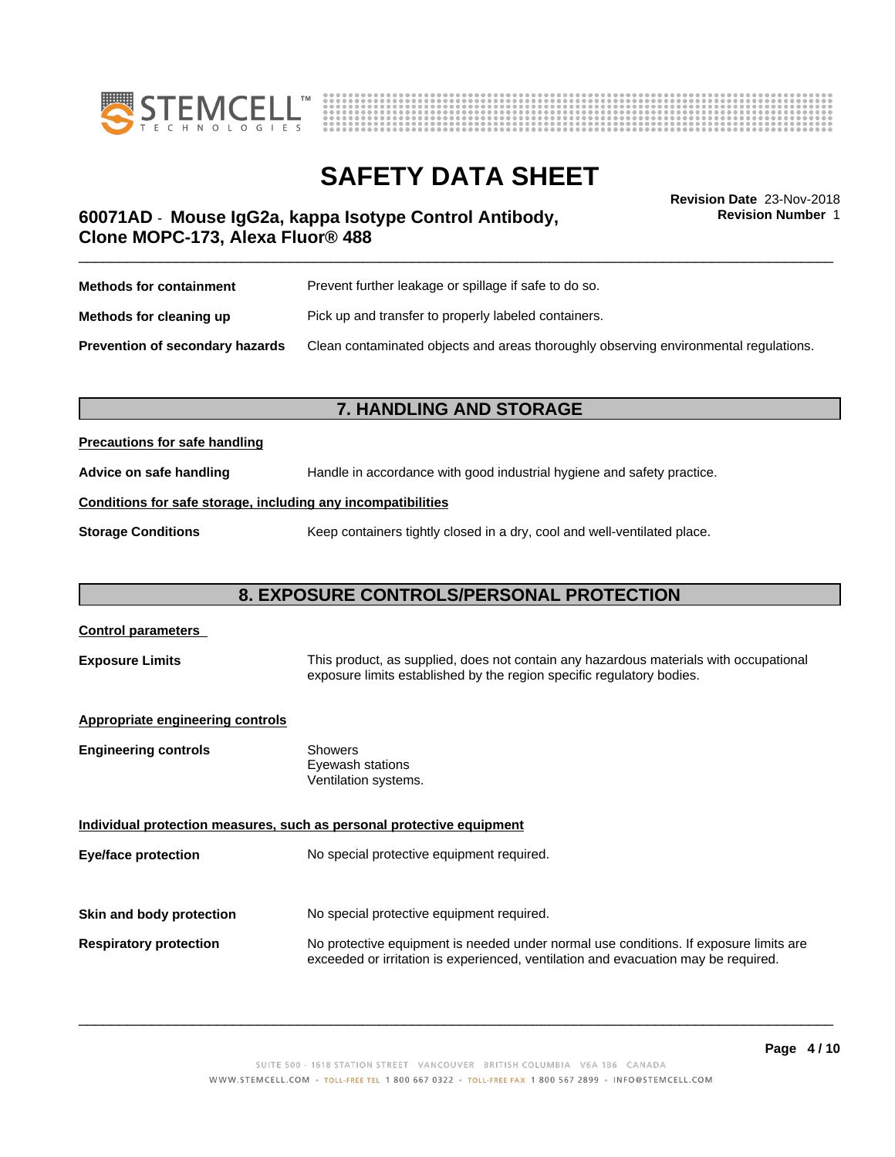



**Revision Number** 1

## \_\_\_\_\_\_\_\_\_\_\_\_\_\_\_\_\_\_\_\_\_\_\_\_\_\_\_\_\_\_\_\_\_\_\_\_\_\_\_\_\_\_\_\_\_\_\_\_\_\_\_\_\_\_\_\_\_\_\_\_\_\_\_\_\_\_\_\_\_\_\_\_\_\_\_\_\_\_\_\_\_\_\_\_\_\_\_\_\_\_\_\_\_ **Revision Date** 23-Nov-2018 **60071AD** - **Mouse IgG2a, kappa Isotype Control Antibody, Clone MOPC-173, Alexa Fluor® 488**

| <b>Methods for containment</b>         | Prevent further leakage or spillage if safe to do so.                                |  |
|----------------------------------------|--------------------------------------------------------------------------------------|--|
| Methods for cleaning up                | Pick up and transfer to properly labeled containers.                                 |  |
| <b>Prevention of secondary hazards</b> | Clean contaminated objects and areas thoroughly observing environmental regulations. |  |

### **7. HANDLING AND STORAGE**

### **Precautions for safe handling**

**Advice on safe handling** Handle in accordance with good industrial hygiene and safety practice.

### **Conditions for safe storage, including any incompatibilities**

**Storage Conditions** Keep containers tightly closed in a dry, cool and well-ventilated place.

### **8. EXPOSURE CONTROLS/PERSONAL PROTECTION**

| <b>Control parameters</b>                                                                                                                                                                |                                                                                                                                                                             |
|------------------------------------------------------------------------------------------------------------------------------------------------------------------------------------------|-----------------------------------------------------------------------------------------------------------------------------------------------------------------------------|
| This product, as supplied, does not contain any hazardous materials with occupational<br><b>Exposure Limits</b><br>exposure limits established by the region specific regulatory bodies. |                                                                                                                                                                             |
| <b>Appropriate engineering controls</b>                                                                                                                                                  |                                                                                                                                                                             |
| <b>Engineering controls</b>                                                                                                                                                              | Showers<br>Eyewash stations<br>Ventilation systems.                                                                                                                         |
|                                                                                                                                                                                          | Individual protection measures, such as personal protective equipment                                                                                                       |
| Eye/face protection                                                                                                                                                                      | No special protective equipment required.                                                                                                                                   |
| Skin and body protection                                                                                                                                                                 | No special protective equipment required.                                                                                                                                   |
|                                                                                                                                                                                          |                                                                                                                                                                             |
| <b>Respiratory protection</b>                                                                                                                                                            | No protective equipment is needed under normal use conditions. If exposure limits are<br>exceeded or irritation is experienced, ventilation and evacuation may be required. |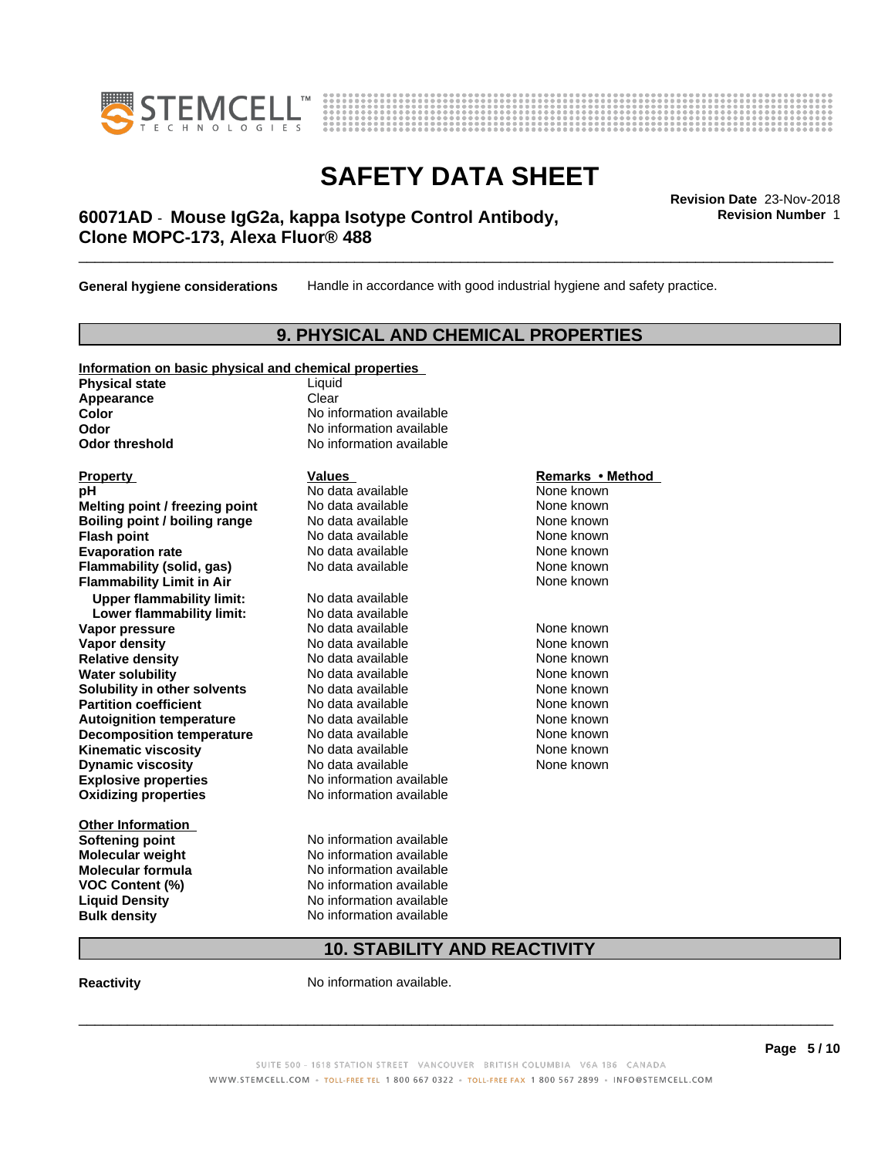



## \_\_\_\_\_\_\_\_\_\_\_\_\_\_\_\_\_\_\_\_\_\_\_\_\_\_\_\_\_\_\_\_\_\_\_\_\_\_\_\_\_\_\_\_\_\_\_\_\_\_\_\_\_\_\_\_\_\_\_\_\_\_\_\_\_\_\_\_\_\_\_\_\_\_\_\_\_\_\_\_\_\_\_\_\_\_\_\_\_\_\_\_\_ **Revision Date** 23-Nov-2018 **60071AD** - **Mouse IgG2a, kappa Isotype Control Antibody, Clone MOPC-173, Alexa Fluor® 488**

**General hygiene considerations** Handle in accordance with good industrial hygiene and safety practice.

### **9. PHYSICAL AND CHEMICAL PROPERTIES**

| information on basic physical and chemical properties |        |  |
|-------------------------------------------------------|--------|--|
| <b>Physical state</b>                                 | Liquid |  |
| Appearance                                            | Clear  |  |

**Information on basic physical and chemical properties**

**Explosive properties**<br> **Oxidizing properties**<br>
No information available **Oxidizing properties Property Remarks • Method Property Remarks • Method pH** No data available None known<br> **Melting point / freezing point** No data available None known **Melting point / freezing point** No data available None known<br> **Boiling point / boiling range** No data available None known **Boiling point / boiling range Flash point No data available None known Evaporation rate rate rate** No data available **None known Flammability (solid, gas)** No data available None known **Flammability Limit in Air Air 1988 1999 <b>1999 1999**  None known **Upper flammability limit:** No data available **Lower flammability limit:** No data available **Vapor pressure No data available None known Vapor density**<br> **Relative density**<br>
No data available None Known<br>
None known **Relative density No data available and the Shown None known**<br> **Water solubility No data available None known None known Water solubility Solubility in other solvents** No data available None known<br> **Partition coefficient** No data available None known<br>
None known **Partition coefficient**<br> **Autoignition temperature**<br>
No data available None None known<br>
None known **Autoignition temperature No data available None known**<br> **Decomposition temperature** No data available **None known**<br>
None known **Decomposition temperature** No data available<br> **Kinematic viscosity** No data available **Kinematic viscosity No data available None known**<br> **Notata available None known**<br>
Notata available **None known Dynamic viscosity No data available None known** 

**Other Information Softening point** No information available **VOC** Content (%)

**Color** No information available **Odor** No information available **Odor threshold** No information available

**Molecular weight** No information available **Molecular formula No information available**<br>**VOC Content (%)** No information available **Liquid Density** No information available **Bulk density** No information available

### **10. STABILITY AND REACTIVITY**

**Reactivity No information available.** 

 $\overline{\phantom{a}}$  ,  $\overline{\phantom{a}}$  ,  $\overline{\phantom{a}}$  ,  $\overline{\phantom{a}}$  ,  $\overline{\phantom{a}}$  ,  $\overline{\phantom{a}}$  ,  $\overline{\phantom{a}}$  ,  $\overline{\phantom{a}}$  ,  $\overline{\phantom{a}}$  ,  $\overline{\phantom{a}}$  ,  $\overline{\phantom{a}}$  ,  $\overline{\phantom{a}}$  ,  $\overline{\phantom{a}}$  ,  $\overline{\phantom{a}}$  ,  $\overline{\phantom{a}}$  ,  $\overline{\phantom{a}}$ 

**Revision Number** 1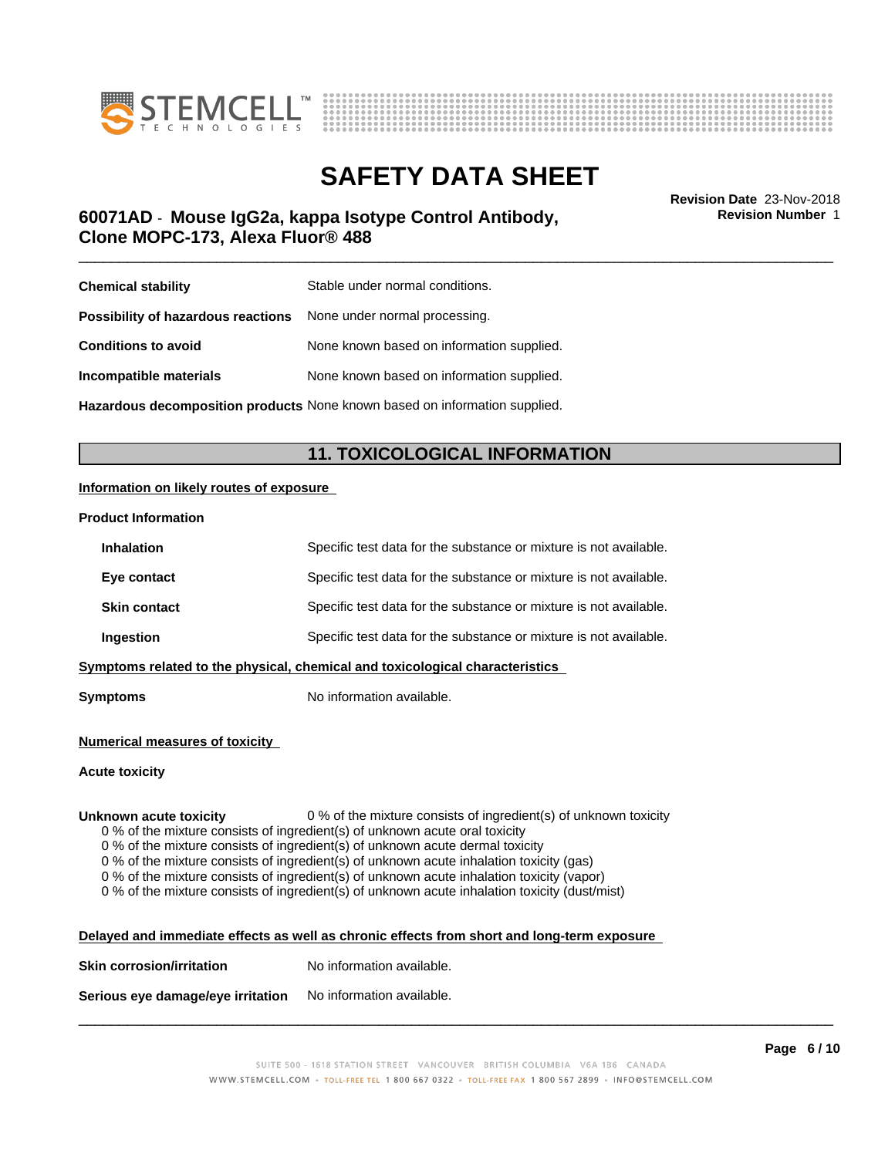



\_\_\_\_\_\_\_\_\_\_\_\_\_\_\_\_\_\_\_\_\_\_\_\_\_\_\_\_\_\_\_\_\_\_\_\_\_\_\_\_\_\_\_\_\_\_\_\_\_\_\_\_\_\_\_\_\_\_\_\_\_\_\_\_\_\_\_\_\_\_\_\_\_\_\_\_\_\_\_\_\_\_\_\_\_\_\_\_\_\_\_\_\_ **Revision Date** 23-Nov-2018 **60071AD** - **Mouse IgG2a, kappa Isotype Control Antibody, Clone MOPC-173, Alexa Fluor® 488**

**Revision Number** 1

| <b>Chemical stability</b>                                               | Stable under normal conditions.           |
|-------------------------------------------------------------------------|-------------------------------------------|
| <b>Possibility of hazardous reactions</b> None under normal processing. |                                           |
| <b>Conditions to avoid</b>                                              | None known based on information supplied. |
| Incompatible materials                                                  | None known based on information supplied. |
|                                                                         |                                           |

**Hazardous decomposition products** None known based on information supplied.

### **11. TOXICOLOGICAL INFORMATION**

#### **Information on likely routes of exposure**

#### **Product Information**

| <b>Inhalation</b>                                                            | Specific test data for the substance or mixture is not available. |  |
|------------------------------------------------------------------------------|-------------------------------------------------------------------|--|
| Eye contact                                                                  | Specific test data for the substance or mixture is not available. |  |
| <b>Skin contact</b>                                                          | Specific test data for the substance or mixture is not available. |  |
| Ingestion                                                                    | Specific test data for the substance or mixture is not available. |  |
| Symptoms related to the physical, chemical and toxicological characteristics |                                                                   |  |

**Symptoms** No information available.

#### **Numerical measures of toxicity**

#### **Acute toxicity**

**Unknown acute toxicity** 0 % of the mixture consists of ingredient(s) of unknown toxicity

0 % of the mixture consists of ingredient(s) of unknown acute oral toxicity

 $0$  % of the mixture consists of ingredient(s) of unknown acute dermal toxicity

0 % of the mixture consists of ingredient(s) of unknown acute inhalation toxicity (gas)

0 % of the mixture consists of ingredient(s) of unknown acute inhalation toxicity (vapor)

0 % of the mixture consists of ingredient(s) of unknown acute inhalation toxicity (dust/mist)

| Delayed and immediate effects as well as chronic effects from short and long-term exposure |  |
|--------------------------------------------------------------------------------------------|--|
|                                                                                            |  |

| <b>Skin corrosion/irritation</b> | No information available. |
|----------------------------------|---------------------------|
|                                  |                           |

**Serious eye damage/eye irritation** No information available.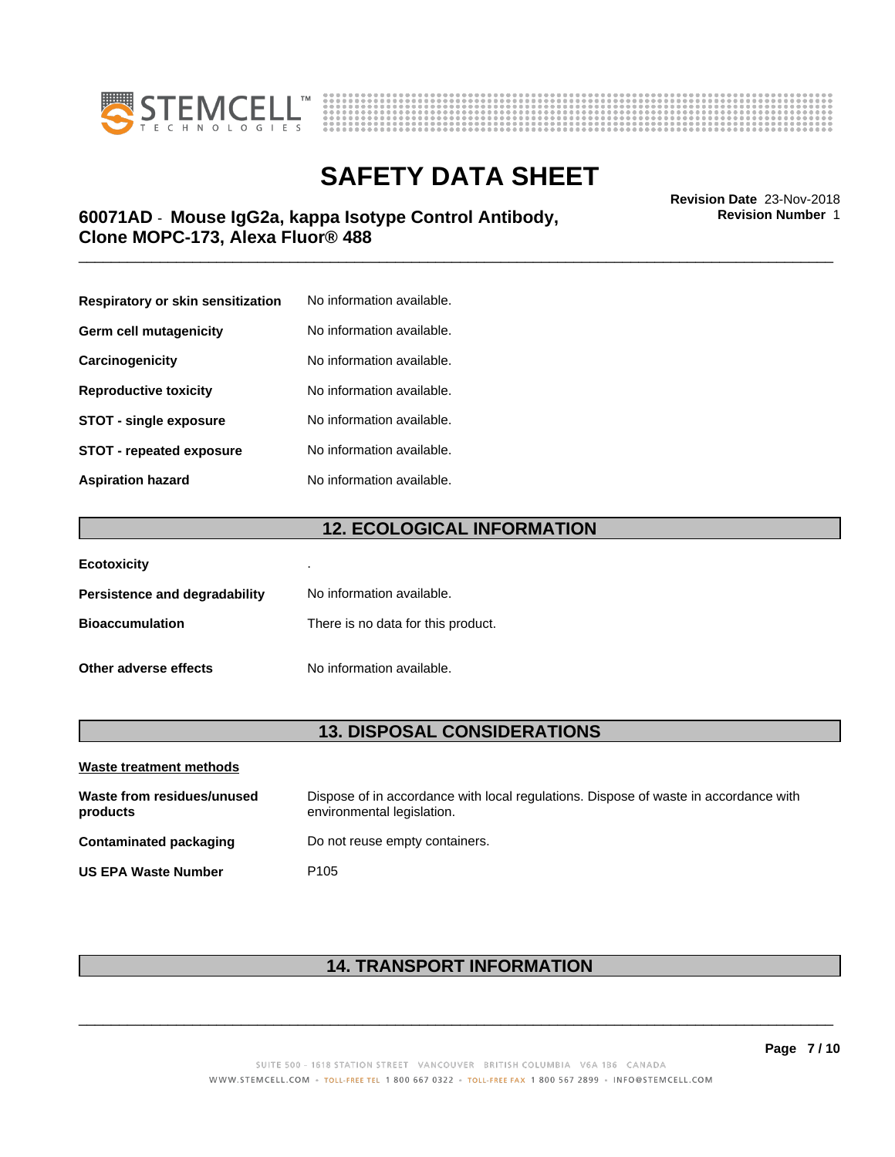



## \_\_\_\_\_\_\_\_\_\_\_\_\_\_\_\_\_\_\_\_\_\_\_\_\_\_\_\_\_\_\_\_\_\_\_\_\_\_\_\_\_\_\_\_\_\_\_\_\_\_\_\_\_\_\_\_\_\_\_\_\_\_\_\_\_\_\_\_\_\_\_\_\_\_\_\_\_\_\_\_\_\_\_\_\_\_\_\_\_\_\_\_\_ **Revision Date** 23-Nov-2018 **60071AD** - **Mouse IgG2a, kappa Isotype Control Antibody, Clone MOPC-173, Alexa Fluor® 488**

| Respiratory or skin sensitization | No information available. |
|-----------------------------------|---------------------------|
| Germ cell mutagenicity            | No information available. |
| Carcinogenicity                   | No information available. |
| <b>Reproductive toxicity</b>      | No information available. |
| <b>STOT - single exposure</b>     | No information available. |
| STOT - repeated exposure          | No information available. |
| Aspiration hazard                 | No information available. |

### **12. ECOLOGICAL INFORMATION**

| <b>Ecotoxicity</b>            |                                    |
|-------------------------------|------------------------------------|
| Persistence and degradability | No information available.          |
| <b>Bioaccumulation</b>        | There is no data for this product. |
| Other adverse effects         | No information available.          |

### **13. DISPOSAL CONSIDERATIONS**

| Waste treatment methods                |                                                                                                                    |  |
|----------------------------------------|--------------------------------------------------------------------------------------------------------------------|--|
| Waste from residues/unused<br>products | Dispose of in accordance with local regulations. Dispose of waste in accordance with<br>environmental legislation. |  |
| Contaminated packaging                 | Do not reuse empty containers.                                                                                     |  |
| <b>US EPA Waste Number</b>             | P <sub>105</sub>                                                                                                   |  |

## **14. TRANSPORT INFORMATION**

 $\overline{\phantom{a}}$  ,  $\overline{\phantom{a}}$  ,  $\overline{\phantom{a}}$  ,  $\overline{\phantom{a}}$  ,  $\overline{\phantom{a}}$  ,  $\overline{\phantom{a}}$  ,  $\overline{\phantom{a}}$  ,  $\overline{\phantom{a}}$  ,  $\overline{\phantom{a}}$  ,  $\overline{\phantom{a}}$  ,  $\overline{\phantom{a}}$  ,  $\overline{\phantom{a}}$  ,  $\overline{\phantom{a}}$  ,  $\overline{\phantom{a}}$  ,  $\overline{\phantom{a}}$  ,  $\overline{\phantom{a}}$ 

**Revision Number** 1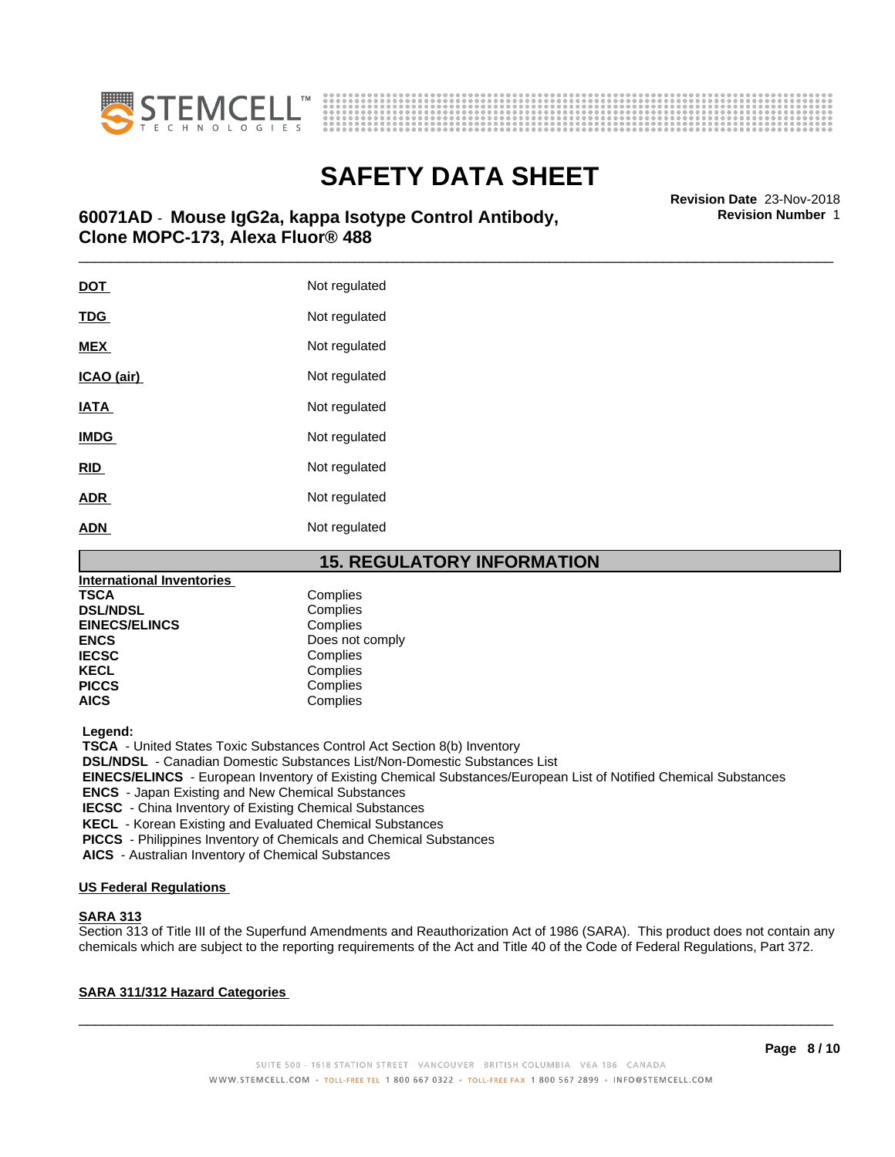



## \_\_\_\_\_\_\_\_\_\_\_\_\_\_\_\_\_\_\_\_\_\_\_\_\_\_\_\_\_\_\_\_\_\_\_\_\_\_\_\_\_\_\_\_\_\_\_\_\_\_\_\_\_\_\_\_\_\_\_\_\_\_\_\_\_\_\_\_\_\_\_\_\_\_\_\_\_\_\_\_\_\_\_\_\_\_\_\_\_\_\_\_\_ **Revision Date** 23-Nov-2018 **60071AD** - **Mouse IgG2a, kappa Isotype Control Antibody, Clone MOPC-173, Alexa Fluor® 488**

| <b>DOT</b>  | Not regulated |
|-------------|---------------|
| <b>TDG</b>  | Not regulated |
| <b>MEX</b>  | Not regulated |
| ICAO (air)  | Not regulated |
| <b>IATA</b> | Not regulated |
| <b>IMDG</b> | Not regulated |
| RID         | Not regulated |
| <b>ADR</b>  | Not regulated |
| <b>ADN</b>  | Not regulated |

### **15. REGULATORY INFORMATION**

| <b>International Inventories</b> |                 |
|----------------------------------|-----------------|
| <b>TSCA</b>                      | Complies        |
| <b>DSL/NDSL</b>                  | Complies        |
| <b>EINECS/ELINCS</b>             | Complies        |
| <b>ENCS</b>                      | Does not comply |
| <b>IECSC</b>                     | Complies        |
| <b>KECL</b>                      | Complies        |
| <b>PICCS</b>                     | Complies        |
| <b>AICS</b>                      | Complies        |

 **Legend:**

 **TSCA** - United States Toxic Substances Control Act Section 8(b) Inventory

 **DSL/NDSL** - Canadian Domestic Substances List/Non-Domestic Substances List

 **EINECS/ELINCS** - European Inventory of Existing Chemical Substances/European List of Notified Chemical Substances

 **ENCS** - Japan Existing and New Chemical Substances

 **IECSC** - China Inventory of Existing Chemical Substances

 **KECL** - Korean Existing and Evaluated Chemical Substances

 **PICCS** - Philippines Inventory of Chemicals and Chemical Substances

 **AICS** - Australian Inventory of Chemical Substances

#### **US Federal Regulations**

#### **SARA 313**

Section 313 of Title III of the Superfund Amendments and Reauthorization Act of 1986 (SARA). This product does not contain any chemicals which are subject to the reporting requirements of the Act and Title 40 of the Code of Federal Regulations, Part 372.

### **SARA 311/312 Hazard Categories**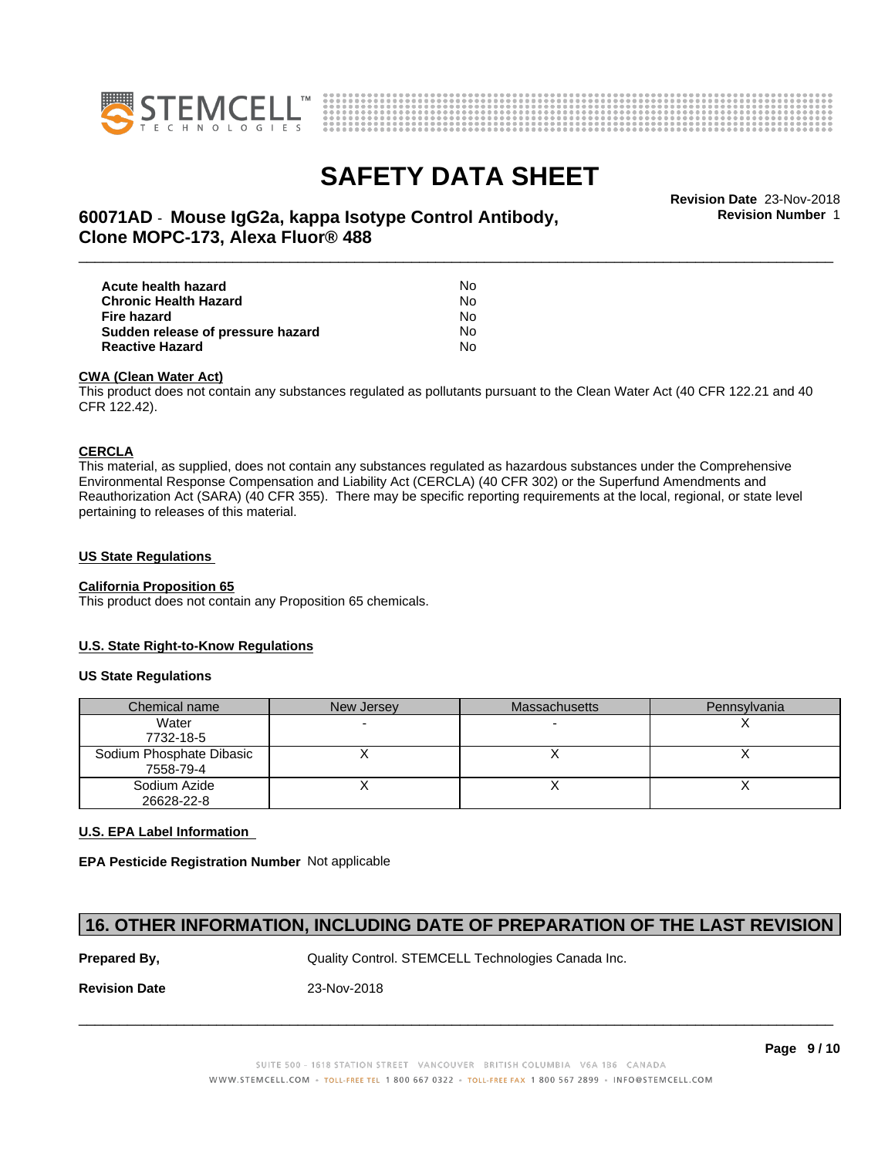



**Revision Number** 1

## \_\_\_\_\_\_\_\_\_\_\_\_\_\_\_\_\_\_\_\_\_\_\_\_\_\_\_\_\_\_\_\_\_\_\_\_\_\_\_\_\_\_\_\_\_\_\_\_\_\_\_\_\_\_\_\_\_\_\_\_\_\_\_\_\_\_\_\_\_\_\_\_\_\_\_\_\_\_\_\_\_\_\_\_\_\_\_\_\_\_\_\_\_ **Revision Date** 23-Nov-2018 **60071AD** - **Mouse IgG2a, kappa Isotype Control Antibody, Clone MOPC-173, Alexa Fluor® 488**

| Acute health hazard               | N٥ |  |
|-----------------------------------|----|--|
| <b>Chronic Health Hazard</b>      | N٥ |  |
| Fire hazard                       | N٥ |  |
| Sudden release of pressure hazard | N٥ |  |
| <b>Reactive Hazard</b>            | N٥ |  |

#### **CWA (Clean WaterAct)**

This product does not contain any substances regulated as pollutants pursuant to the Clean Water Act (40 CFR 122.21 and 40 CFR 122.42).

#### **CERCLA**

This material, as supplied, does not contain any substances regulated as hazardous substances under the Comprehensive Environmental Response Compensation and Liability Act (CERCLA) (40 CFR 302) or the Superfund Amendments and Reauthorization Act (SARA) (40 CFR 355). There may be specific reporting requirements at the local, regional, or state level pertaining to releases of this material.

#### **US State Regulations**

#### **California Proposition 65**

This product does not contain any Proposition 65 chemicals.

#### **U.S. State Right-to-Know Regulations**

#### **US State Regulations**

| Chemical name            | New Jersey | <b>Massachusetts</b> | Pennsylvania |
|--------------------------|------------|----------------------|--------------|
| Water                    |            |                      |              |
| 7732-18-5                |            |                      |              |
| Sodium Phosphate Dibasic |            |                      |              |
| 7558-79-4                |            |                      |              |
| Sodium Azide             |            |                      |              |
| 26628-22-8               |            |                      |              |

#### **U.S. EPA Label Information**

**EPA Pesticide Registration Number** Notapplicable

### **16. OTHER INFORMATION, INCLUDING DATE OF PREPARATION OF THE LAST REVISION**

**Prepared By, State Control. STEMCELL Technologies Canada Inc.** Canada Inc.

**Revision Date** 23-Nov-2018

SUITE 500 - 1618 STATION STREET VANCOUVER BRITISH COLUMBIA V6A 1B6 CANADA WWW.STEMCELL.COM • TOLL-FREE TEL 1 800 667 0322 • TOLL-FREE FAX 1 800 567 2899 • INFO@STEMCELL.COM